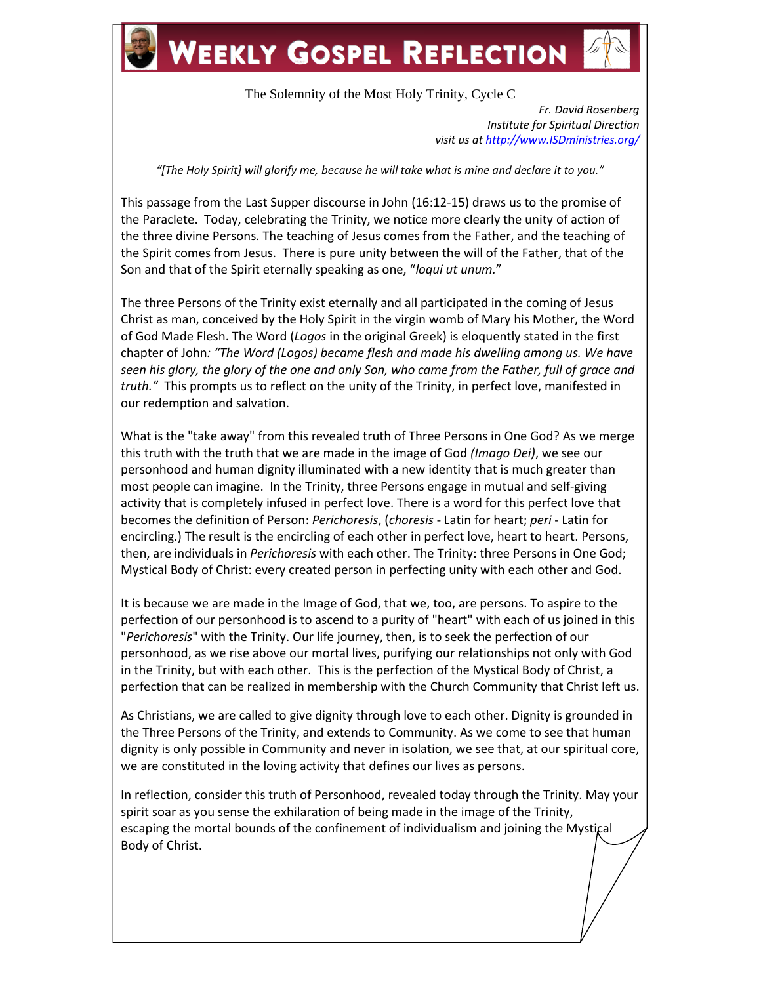

## **WEEKLY GOSPEL REFLECTION**



The Solemnity of the Most Holy Trinity, Cycle C

*Fr. David Rosenberg Institute for Spiritual Direction visit us at [http://www.ISDministries.org/](http://www.isdministries.org/)*

*"[The Holy Spirit] will glorify me, because he will take what is mine and declare it to you."*

This passage from the Last Supper discourse in John (16:12-15) draws us to the promise of the Paraclete. Today, celebrating the Trinity, we notice more clearly the unity of action of the three divine Persons. The teaching of Jesus comes from the Father, and the teaching of the Spirit comes from Jesus. There is pure unity between the will of the Father, that of the Son and that of the Spirit eternally speaking as one, "*loqui ut unum.*"

The three Persons of the Trinity exist eternally and all participated in the coming of Jesus Christ as man, conceived by the Holy Spirit in the virgin womb of Mary his Mother, the Word of God Made Flesh. The Word (*Logos* in the original Greek) is eloquently stated in the first chapter of John*: "The Word (Logos) became flesh and made his dwelling among us. We have seen his glory, the glory of the one and only Son, who came from the Father, full of grace and truth."* This prompts us to reflect on the unity of the Trinity, in perfect love, manifested in our redemption and salvation.

What is the "take away" from this revealed truth of Three Persons in One God? As we merge this truth with the truth that we are made in the image of God *(Imago Dei)*, we see our personhood and human dignity illuminated with a new identity that is much greater than most people can imagine. In the Trinity, three Persons engage in mutual and self-giving activity that is completely infused in perfect love. There is a word for this perfect love that becomes the definition of Person: *Perichoresis*, (*choresis* - Latin for heart; *peri* - Latin for encircling.) The result is the encircling of each other in perfect love, heart to heart. Persons, then, are individuals in *Perichoresis* with each other. The Trinity: three Persons in One God; Mystical Body of Christ: every created person in perfecting unity with each other and God.

It is because we are made in the Image of God, that we, too, are persons. To aspire to the perfection of our personhood is to ascend to a purity of "heart" with each of us joined in this "*Perichoresis*" with the Trinity. Our life journey, then, is to seek the perfection of our personhood, as we rise above our mortal lives, purifying our relationships not only with God in the Trinity, but with each other. This is the perfection of the Mystical Body of Christ, a perfection that can be realized in membership with the Church Community that Christ left us.

As Christians, we are called to give dignity through love to each other. Dignity is grounded in the Three Persons of the Trinity, and extends to Community. As we come to see that human dignity is only possible in Community and never in isolation, we see that, at our spiritual core, we are constituted in the loving activity that defines our lives as persons.

In reflection, consider this truth of Personhood, revealed today through the Trinity. May your spirit soar as you sense the exhilaration of being made in the image of the Trinity, escaping the mortal bounds of the confinement of individualism and joining the Mystical Body of Christ.